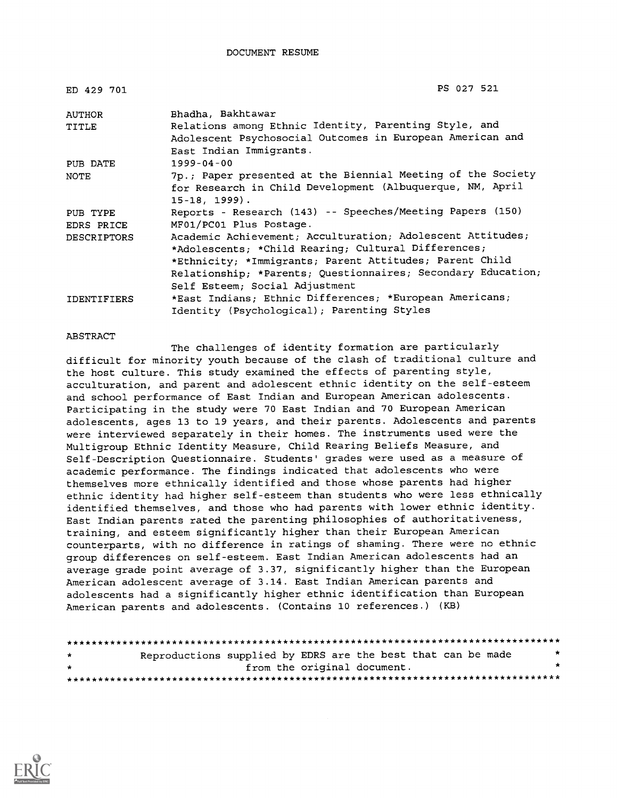| ED 429 701         | PS 027 521                                                   |
|--------------------|--------------------------------------------------------------|
| AUTHOR             | Bhadha, Bakhtawar                                            |
| TITLE              | Relations among Ethnic Identity, Parenting Style, and        |
|                    | Adolescent Psychosocial Outcomes in European American and    |
|                    | East Indian Immigrants.                                      |
| PUB DATE           | $1999 - 04 - 00$                                             |
| NOTE               | 7p.; Paper presented at the Biennial Meeting of the Society  |
|                    | for Research in Child Development (Albuquerque, NM, April    |
|                    | $15 - 18, 1999$ .                                            |
| PUB TYPE           | Reports - Research (143) -- Speeches/Meeting Papers (150)    |
| EDRS PRICE         | MF01/PC01 Plus Postage.                                      |
| <b>DESCRIPTORS</b> | Academic Achievement; Acculturation; Adolescent Attitudes;   |
|                    | *Adolescents; *Child Rearing; Cultural Differences;          |
|                    | *Ethnicity; *Immigrants; Parent Attitudes; Parent Child      |
|                    | Relationship; *Parents; Questionnaires; Secondary Education; |
|                    | Self Esteem; Social Adjustment                               |
| <b>IDENTIFIERS</b> | *East Indians; Ethnic Differences; *European Americans;      |
|                    | Identity (Psychological); Parenting Styles                   |

#### ABSTRACT

The challenges of identity formation are particularly difficult for minority youth because of the clash of traditional culture and the host culture. This study examined the effects of parenting style, acculturation, and parent and adolescent ethnic identity on the self-esteem and school performance of East Indian and European American adolescents. Participating in the study were 70 East Indian and 70 European American adolescents, ages 13 to 19 years, and their parents. Adolescents and parents were interviewed separately in their homes. The instruments used were the Multigroup Ethnic Identity Measure, Child Rearing Beliefs Measure, and Self-Description Questionnaire. Students' grades were used as a measure of academic performance. The findings indicated that adolescents who were themselves more ethnically identified and those whose parents had higher ethnic identity had higher self-esteem than students who were less ethnically identified themselves, and those who had parents with lower ethnic identity. East Indian parents rated the parenting philosophies of authoritativeness, training, and esteem significantly higher than their European American counterparts, with no difference in ratings of shaming. There were no ethnic group differences on self-esteem. East Indian American adolescents had an average grade point average of 3.37, significantly higher than the European American adolescent average of 3.14. East Indian American parents and adolescents had a significantly higher ethnic identification than European American parents and adolescents. (Contains 10 references.) (KB)

| $\star$      | Reproductions supplied by EDRS are the best that can be made |                             |  |  | * |
|--------------|--------------------------------------------------------------|-----------------------------|--|--|---|
| $\mathbf{r}$ |                                                              | from the original document. |  |  |   |
|              |                                                              |                             |  |  |   |

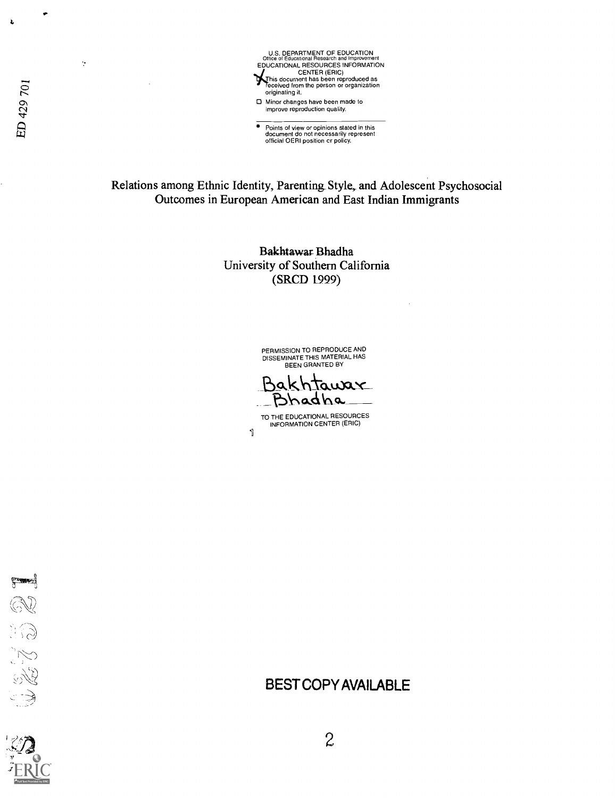

 $\bullet$ 

→ Points of view or opinions stated in this document do not necessarily represent<br>document do not necessarily represent<br>official OERI position cr policy.

Relations among Ethnic Identity, Parenting Style, and Adolescent Psychosocial Outcomes in European American and East Indian Immigrants

> Bakhtawar Bhadha University of Southern California (SRCD 1999)

> > PERMISSION TO REPRODUCE AND DISSEMINATE THIS MATERIAL HAS BEEN GRANTED BY

Bakhtawax Bhadha

TO THE EDUCATIONAL RESOURCES INFORMATION CENTER (ERIC) 1

JACTES

ED 429 701

 $\gamma$ 

Ł



BEST COPY AVAILABLE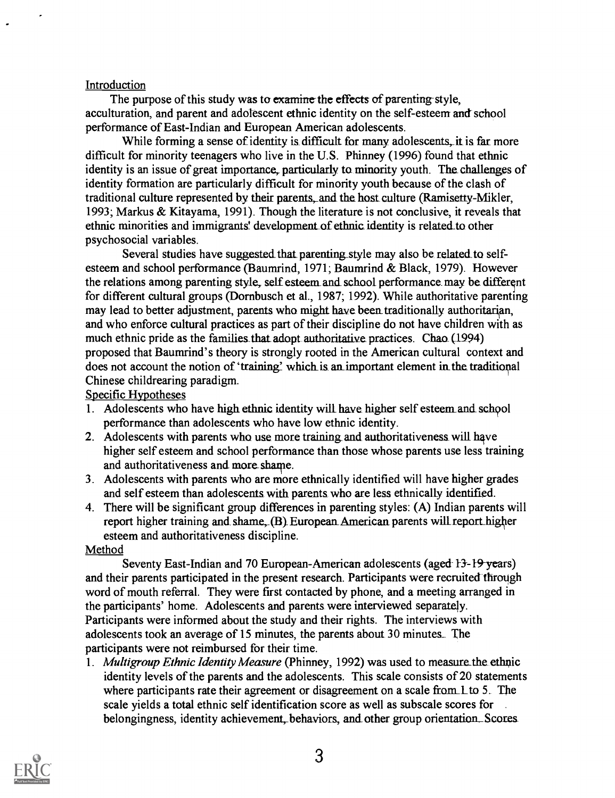#### Introduction

The purpose of this study was to examine the effects of parenting-style, acculturation, and parent and adolescent ethnic identity on the self-esteem and school performance of East-Indian and European American adolescents.

While forming a sense of identity is difficult for many adolescents, it is far more difficult for minority teenagers who live in the U.S. Phinney (1996) found that ethnic identity is an issue of great importance, particularly to minority youth. The challenges of identity formation are particularly difficult for minority youth because of the clash of traditional culture represented by their parents, and the host culture (Ramisetty-Mikler, 1993; Markus & Kitayama, 1991). Though the literature is not conclusive, it reveals that ethnic minorities and immigrants' development of ethnic identity is related to other psychosocial variables.

Several studies have suggested that parenting style may also be related to selfesteem and school performance (Baumrind, 1971; Baumrind & Black, 1979). However the relations among parenting style, self esteem and school performance may be different for different cultural groups (Dornbusch et al., 1987; 1992). While authoritative parenting may lead to better adjustment, parents who might have been traditionally authoritarian, and who enforce cultural practices as part of their discipline do not have children with as much ethnic pride as the families that adopt authoritative practices. Chao (1994) proposed that Baumrind's theory is strongly rooted in the American cultural context and does not account the notion of 'training' which is an important element in the traditional Chinese childrearing paradigm.

#### Specific Hypotheses

- I. Adolescents who have high ethnic identity will have higher self esteemand school performance than adolescents who have low ethnic identity.
- 2. Adolescents with parents who use more training and authoritativeness will have higher self esteem and school performance than those whose parents use less training and authoritativeness and more shame.
- 3. Adolescents with parents who are more ethnically identified will have higher grades and self esteem than adolescents with parents who are less ethnically identified.
- 4. There will be significant group differences in parenting styles: (A) Indian parents will report higher training and shame, (B) European American parents will report higher esteem and authoritativeness discipline.

#### Method

Seventy East-Indian and 70 European-American adolescents (aged 13-19 years) and their parents participated in the present research. Participants were recruited through word of mouth referral. They were first contacted by phone, and a meeting arranged in the participants' home. Adolescents and parents were interviewed separately. Participants were informed about the study and their rights. The interviews with adolescents took an average of 15 minutes, the parents about 30 minutes\_ The participants were not reimbursed for their time.

1. Multigroup Ethnic Identity Measure (Phinney, 1992) was used to measure the ethnic identity levels of the parents and the adolescents. This scale consists of 20 statements where participants rate their agreement or disagreement on a scale from L to 5. The scale yields a total ethnic self identification score as well as subscale scores for belongingness, identity achievement, behaviors, and other group orientation. Scores

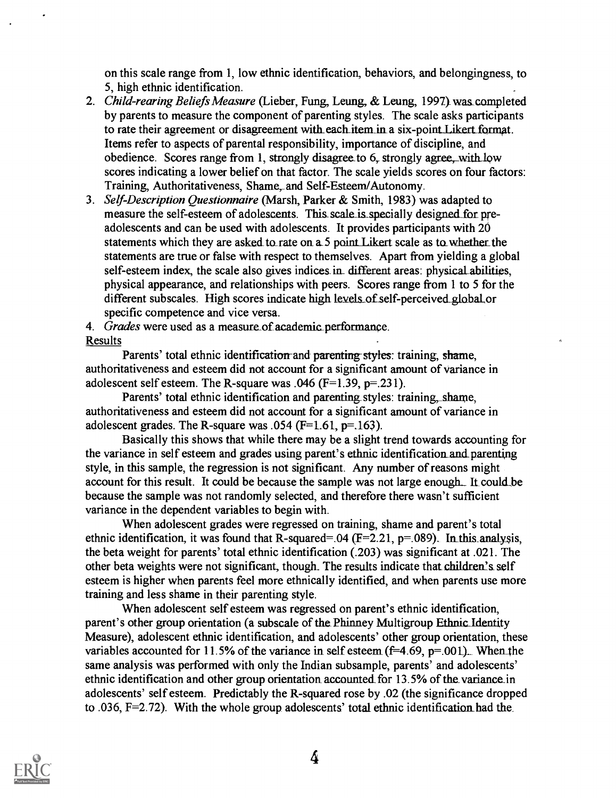on this scale range from 1, low ethnic identification, behaviors, and belongingness, to 5, high ethnic identification.

- 2. Child-rearing Beliefs Measure (Lieber, Fung, Leung, & Leung, 1997) was completed by parents to measure the component of parenting styles. The scale asks participants to rate their agreement or disagreement with each item in a six-point Likert format. Items refer to aspects of parental responsibility, importance of discipline, and obedience. Scores range from 1, strongly disagree to 6, strongly agree, with low scores indicating a lower belief on that factor. The scale yields scores on four factors: Training, Authoritativeness, Shame, and Self-Esteem/Autonomy.
- 3. Self-Description Questionnaire (Marsh, Parker & Smith, 1983) was adapted to measure the self-esteem of adolescents. This scale is specially designed for preadolescents and can be used with adolescents. It provides participants with 20 statements which they are asked to rate on a.5 point Likert scale as to whether the statements are true or false with respect to themselves. Apart from yielding a global self-esteem index, the scale also gives indices in different areas: physical abilities, physical appearance, and relationships with peers. Scores range from 1 to 5 for the different subscales. High scores indicate high levels of self-perceived global or specific competence and vice versa.
- 4. Grades were used as a measure of academic performance.

#### Results

Parents' total ethnic identification and parenting styles: training, shame, authoritativeness and esteem did not account for a significant amount of variance in adolescent self esteem. The R-square was  $.046$  (F=1.39, p=.231).

Parents' total ethnic identification and parenting styles: training, shame, authoritativeness and esteem did not account for a significant amount of variance in adolescent grades. The R-square was .054 ( $F=1.61$ ,  $p=.163$ ).

Basically this shows that while there may be a slight trend towards accounting for the variance in self esteem and grades using parent's ethnic identificatiomand\_parenting style, in this sample, the regression is not significant. Any number of reasons might account for this result. It could be because the sample was not large enough. It could be because the sample was not randomly selected, and therefore there wasn't sufficient variance in the dependent variables to begin with.

When adolescent grades were regressed on training, shame and parent's total ethnic identification, it was found that R-squared=.04 ( $F=2.21$ ,  $p=.089$ ). In this analysis, the beta weight for parents' total ethnic identification (.203) was significant at .021. The other beta weights were not significant, though. The results indicate that children's self esteem is higher when parents feel more ethnically identified, and when parents use more training and less shame in their parenting style.

When adolescent self esteem was regressed on parent's ethnic identification, parent's other group orientation (a subscale of the Phinney Multigroup Ethnic Identity Measure), adolescent ethnic identification, and adolescents' other group orientation, these variables accounted for 11.5% of the variance in self esteem  $(f=4.69, p=.001)$ . When the same analysis was performed with only the Indian subsample, parents' and adolescents' ethnic identification and other group orientation accounted for 13.5% of the variance in adolescents' self esteem. Predictably the R-squared rose by .02 (the significance dropped to .036,  $F=2.72$ ). With the whole group adolescents' total ethnic identification had the

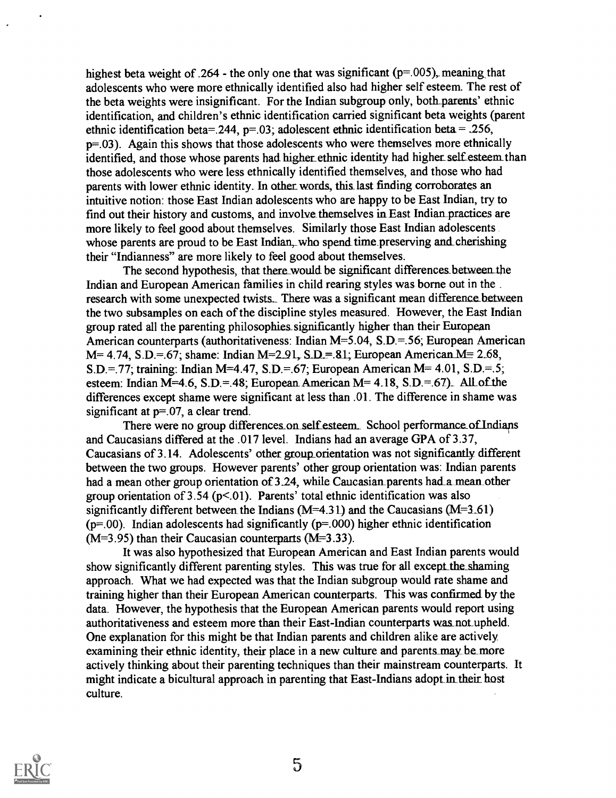highest beta weight of .264 - the only one that was significant ( $p=0.005$ ), meaning that adolescents who were more ethnically identified also had higher self esteem. The rest of the beta weights were insignificant. For the Indian subgroup only, both\_parents' ethnic identification, and children's ethnic identification carried significant beta weights (parent ethnic identification beta=.244,  $p=0.03$ ; adolescent ethnic identification beta = .256, p=.03). Again this shows that those adolescents who were themselves more ethnically identified, and those whose parents had higher ethnic identity had higher self esteem than those adolescents who were less ethnically identified themselves, and those who had parents with lower ethnic identity. In other words, this last finding corroborates an intuitive notion: those East Indian adolescents who are happy to be East Indian, try to find out their history and customs, and involve themselves in East Indian practices are more likely to feel good about themselves. Similarly those East Indian adolescents whose parents are proud to be East Indian, who spend time preserving and cherishing their "Indianness" are more likely to feel good about themselves.

The second hypothesis, that there would be significant differences between the Indian and European American families in child rearing styles was borne out in the . research with some unexpected twists. There was a significant mean difference between the two subsamples on each of the discipline styles measured. However, the East Indian group rated all the parenting philosophies significantly higher than their European American counterparts (authoritativeness: Indian M=5.04, S.D.=.56; European American  $M= 4.74$ , S.D.=.67; shame: Indian M=2.91, S.D.= 81; European American M= 2.68, S.D.=.77; training: Indian M=4.47, S.D.=.67; European American M= 4.01, S.D.=.5; esteem: Indian M=4.6, S.D.=.48; European American M= 4.18, S.D.=.67). All of the differences except shame were significant at less than .01. The difference in shame was significant at  $p=0.07$ , a clear trend.

There were no group differences on self esteem. School performance of Indians and Caucasians differed at the .017 level. Indians had an average GPA of 3.37, Caucasians of 3.14. Adolescents' other group\_orientation was not significantly different between the two groups. However parents' other group orientation was: Indian parents had a mean other group orientation of  $3.24$ , while Caucasian parents had a mean other group orientation of 3.54 ( $p$ <.01). Parents' total ethnic identification was also significantly different between the Indians ( $M=4.31$ ) and the Caucasians ( $M=3.61$ )  $(p=0.00)$ . Indian adolescents had significantly  $(p=0.000)$  higher ethnic identification  $(M=3.95)$  than their Caucasian counterparts  $(M=3.33)$ .

It was also hypothesized that European American and East Indian parents would show significantly different parenting styles. This was true for all except the shaming approach. What we had expected was that the Indian subgroup would rate shame and training higher than their European American counterparts. This was confirmed by the data. However, the hypothesis that the European American parents would report using authoritativeness and esteem more than their East-Indian counterparts was not upheld. One explanation for this might be that Indian parents and children alike are actively examining their ethnic identity, their place in a new culture and parents may be more actively thinking about their parenting techniques than their mainstream counterparts. It might indicate a bicultural approach in parenting that East-Indians adopt in their host culture.

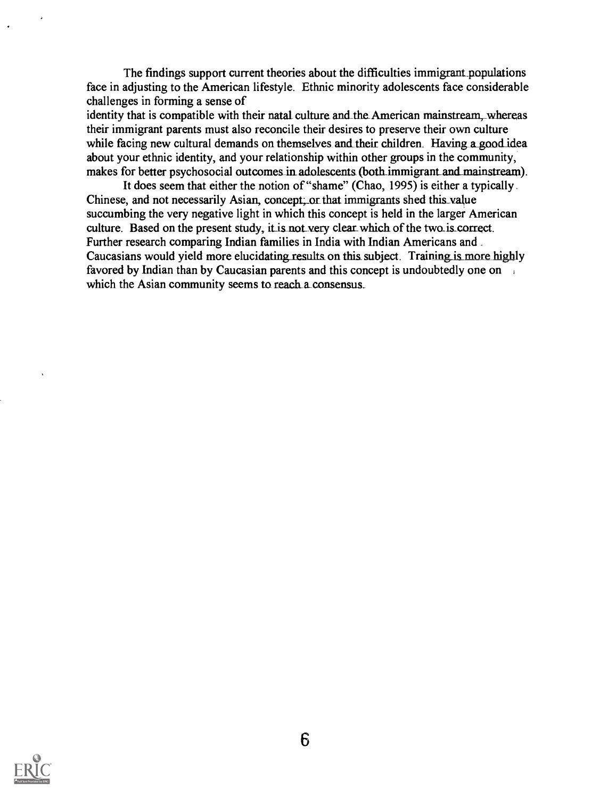The findings support current theories about the difficulties immigrant populations face in adjusting to the American lifestyle. Ethnic minority adolescents face considerable challenges in forming a sense of

identity that is compatible with their natal culture and the American mainstream, whereas their immigrant parents must also reconcile their desires to preserve their own culture while facing new cultural demands on themselves and their children. Having a good idea about your ethnic identity, and your relationship within other groups in the community, makes for better psychosocial outcomes in adolescents (both immigrant and mainstream).

It does seem that either the notion of "shame" (Chao, 1995) is either a typically. Chinese, and not necessarily Asian, concept; or that immigrants shed this\_value succumbing the very negative light in which this concept is held in the larger American culture. Based on the present study, it is not very clear which of the two is correct. Further research comparing Indian families in India with Indian Americans and Caucasians would yield more elucidating results on this subject. Training is more highly favored by Indian than by Caucasian parents and this concept is undoubtedly one on which the Asian community seems to reach a consensus.

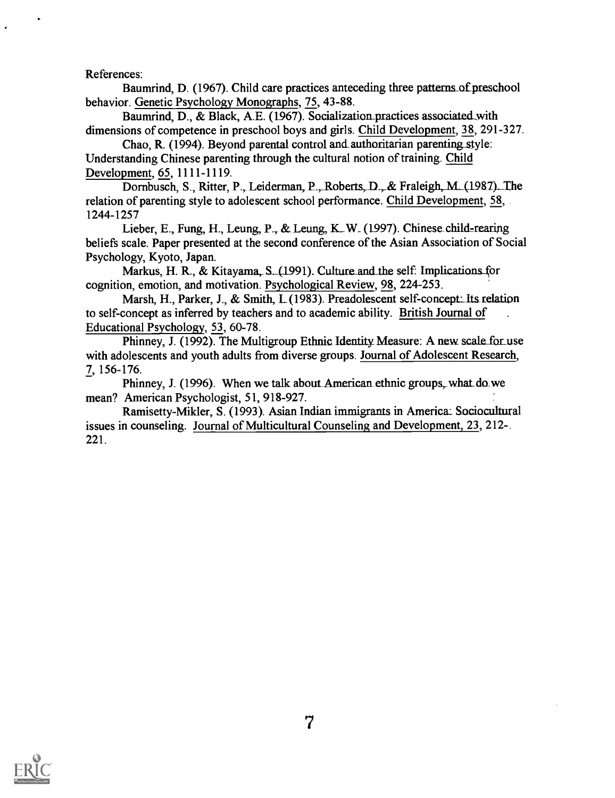References:

Baumrind, D. (1967). Child care practices anteceding three patterns of preschool behavior. Genetic Psychology Monographs, 75, 43-88.

Baumrind, D., & Black, A.E. (1967). Socialization practices associated with dimensions of competence in preschool boys and girls. Child Development, 38, 291-327.

Chao, R. (1994). Beyond parental control and authoritarian parenting style: Understanding Chinese parenting through the cultural notion of training. Child Development, 65, 1111-1119.

Dornbusch, S., Ritter, P., Leiderman, P., Roberts, D., & Fraleigh, M. (1987). The relation of parenting style to adolescent school performance. Child Development, 58, 1244-1257

Lieber, E., Fung, H., Leung, P., & Leung, K., W. (1997). Chinese child-rearing beliefs scale. Paper presented at the second conference of the Asian Association of Social Psychology, Kyoto, Japan.

Markus, H. R., & Kitayama, S. (1991). Culture and the self: Implications for cognition, emotion, and motivation. Psychological Review, 98, 224-253.

Marsh, H., Parker, J., & Smith, L. (1983). Preadolescent self-concept: Its relation to self-concept as inferred by teachers and to academic ability. British Journal of Educational Psychology, 53, 60-78.

Phinney, J. (1992). The Multigroup Ethnic Identity Measure: A new scale for use with adolescents and youth adults from diverse groups. Journal of Adolescent Research, 7, 156-176.

Phinney, J. (1996). When we talk about American ethnic groups, what do we mean? American Psychologist, 51, 918-927.

Ramisetty-Mikler, S. (1993). Asian Indian immigrants in America: Socincultural issues in counseling. Journal of Multicultural Counseling and Development, 23, 212-. 221.

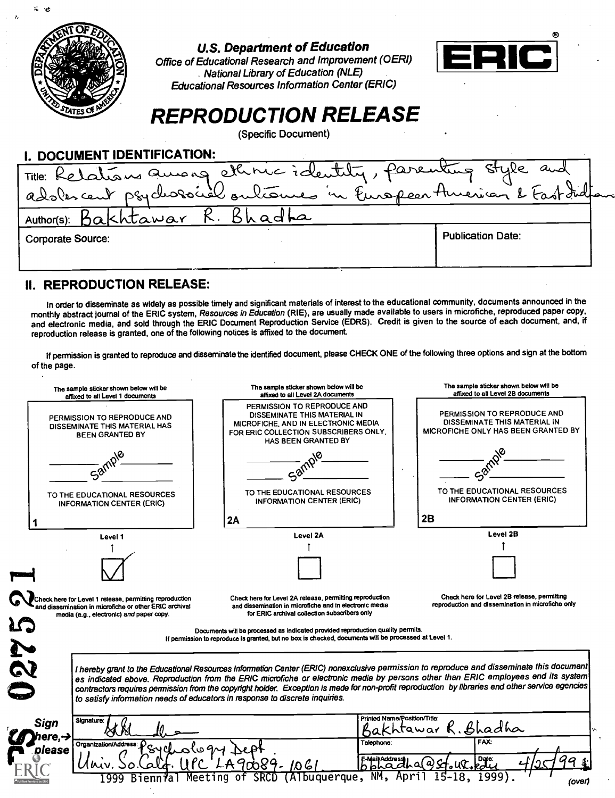|                         | OFED |  |
|-------------------------|------|--|
|                         |      |  |
|                         |      |  |
|                         |      |  |
|                         |      |  |
| <b>ED STATES OF AME</b> |      |  |

 $\mathcal{R}^{\text{max}}$ 

#### U.S. Department of Education

Office of Educational Research and Improvement (0ERI) National Library of Education (NLE) Educational Resources Information Center (ERIC)



# REPRODUCTION RELEASE

(Specific Document)

| I. DOCUMENT IDENTIFICATION:                                         |                          |
|---------------------------------------------------------------------|--------------------------|
| Title: Relations aurong ettinic identity, parenting style and       |                          |
| adoles cent psychosocial outcomes in Europear American & Fast India |                          |
| Author(s): Bakhtawar R. Bhadha                                      |                          |
| <b>Corporate Source:</b>                                            | <b>Publication Date:</b> |
|                                                                     |                          |

### II. REPRODUCTION RELEASE:

In order to disseminate as widely as possible timely and significant materials of interest to the educational community, documents announced in the monthly abstract journal of the ERIC system, Resources in Education (RIE), are usually made available to users in microfiche, reproduced paper copy, and electronic media, and sold through the ERIC Document Reproduction Service (EDRS). Credit is given to the source of each document, and, if reproduction release is granted, one of the following notices is affixed to the document.

If permission is granted to reproduce and disseminate the identified document, please CHECK ONE of the following three options and sign at the bottom of the page.

|                          | The sample sticker shown below will be<br>affixed to all Level 1 documents                                                                                    | The sample sticker shown below will be<br>affixed to all Level 2A documents                                                                                                                                                                                                                                                                                                                                                                                                                                       | The sample sticker shown below will be<br>affixed to all Level 2B documents                               |
|--------------------------|---------------------------------------------------------------------------------------------------------------------------------------------------------------|-------------------------------------------------------------------------------------------------------------------------------------------------------------------------------------------------------------------------------------------------------------------------------------------------------------------------------------------------------------------------------------------------------------------------------------------------------------------------------------------------------------------|-----------------------------------------------------------------------------------------------------------|
|                          | PERMISSION TO REPRODUCE AND<br>DISSEMINATE THIS MATERIAL HAS<br><b>BEEN GRANTED BY</b>                                                                        | PERMISSION TO REPRODUCE AND<br>DISSEMINATE THIS MATERIAL IN<br>MICROFICHE, AND IN ELECTRONIC MEDIA<br>FOR ERIC COLLECTION SUBSCRIBERS ONLY.<br>HAS BEEN GRANTED BY                                                                                                                                                                                                                                                                                                                                                | <b>PERMISSION TO REPRODUCE AND</b><br>DISSEMINATE THIS MATERIAL IN<br>MICROFICHE ONLY HAS BEEN GRANTED BY |
|                          | Sam                                                                                                                                                           |                                                                                                                                                                                                                                                                                                                                                                                                                                                                                                                   |                                                                                                           |
|                          | TO THE EDUCATIONAL RESOURCES<br><b>INFORMATION CENTER (ERIC)</b>                                                                                              | TO THE EDUCATIONAL RESOURCES<br>INFORMATION CENTER (ERIC)                                                                                                                                                                                                                                                                                                                                                                                                                                                         | <b>TO THE EDUCATIONAL RESOURCES</b><br><b>INFORMATION CENTER (ERIC)</b>                                   |
|                          |                                                                                                                                                               | 2A                                                                                                                                                                                                                                                                                                                                                                                                                                                                                                                | 2B                                                                                                        |
|                          | Level 1                                                                                                                                                       | Level 2A                                                                                                                                                                                                                                                                                                                                                                                                                                                                                                          | Level 2B                                                                                                  |
|                          |                                                                                                                                                               |                                                                                                                                                                                                                                                                                                                                                                                                                                                                                                                   |                                                                                                           |
|                          |                                                                                                                                                               |                                                                                                                                                                                                                                                                                                                                                                                                                                                                                                                   |                                                                                                           |
|                          | Check here for Level 1 release, permitting reproduction<br>and dissemination in microfiche or other ERIC archival<br>media (e.g., electronic) and paper copy. | Check here for Level 2A release, permitting reproduction<br>and dissemination in microfiche and in electronic media<br>for ERIC archival collection subscribers only                                                                                                                                                                                                                                                                                                                                              | Check here for Level 2B release, permitting<br>reproduction and dissemination in microfiche only          |
|                          |                                                                                                                                                               |                                                                                                                                                                                                                                                                                                                                                                                                                                                                                                                   |                                                                                                           |
|                          |                                                                                                                                                               | Documents will be processed as indicated provided reproduction quality permits.<br>If permission to reproduce is granted, but no box is checked, documents will be processed at Level 1.                                                                                                                                                                                                                                                                                                                          |                                                                                                           |
|                          |                                                                                                                                                               | I hereby grant to the Educational Resources Information Center (ERIC) nonexclusive permission to reproduce and disseminate this document<br>es indicated above. Reproduction from the ERIC microfiche or electronic media by persons other than ERIC employees end its system<br>contractors requires permission from the copyright holder. Exception is mede for non-profit reproduction by libraries end other service egencies<br>to satisfy information needs of educators in response to discrete inquiries. |                                                                                                           |
| Signature:               |                                                                                                                                                               | Printed Name/Position/Title:                                                                                                                                                                                                                                                                                                                                                                                                                                                                                      | tawar R. Bhadha                                                                                           |
| Sign<br>ere.-J<br>please | Organization/Address:                                                                                                                                         | Telephone:<br><b>Addres</b><br>9- 1061<br>$\Omega$                                                                                                                                                                                                                                                                                                                                                                                                                                                                | FAX:<br>Date:<br>Q                                                                                        |